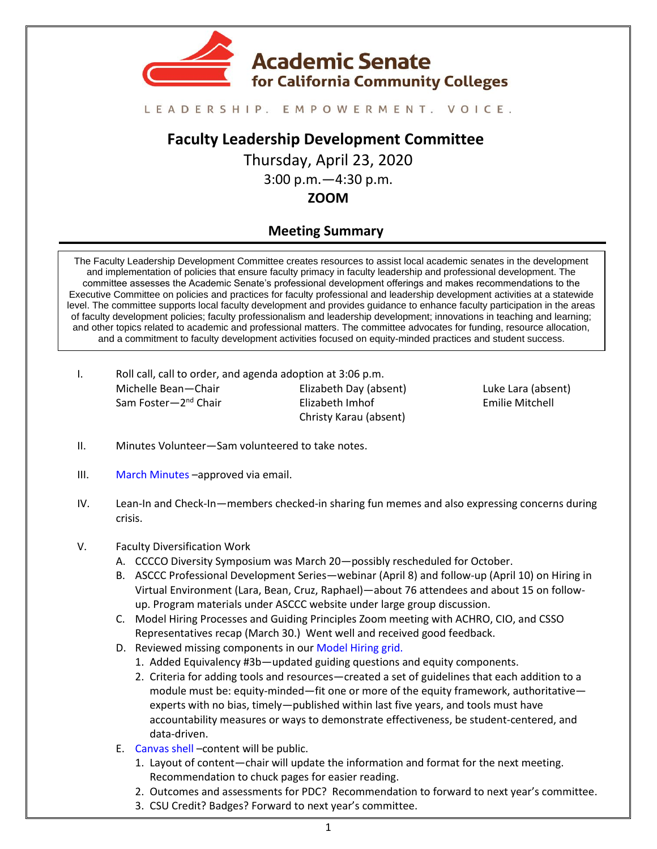

## LEADERSHIP. EMPOWERMENT. VOICE.

# **Faculty Leadership Development Committee**

Thursday, April 23, 2020 3:00 p.m.—4:30 p.m. **ZOOM**

## **Meeting Summary**

The Faculty Leadership Development Committee creates resources to assist local academic senates in the development and implementation of policies that ensure faculty primacy in faculty leadership and professional development. The committee assesses the Academic Senate's professional development offerings and makes recommendations to the Executive Committee on policies and practices for faculty professional and leadership development activities at a statewide level. The committee supports local faculty development and provides guidance to enhance faculty participation in the areas of faculty development policies; faculty professionalism and leadership development; innovations in teaching and learning; and other topics related to academic and professional matters. The committee advocates for funding, resource allocation, and a commitment to faculty development activities focused on equity-minded practices and student success.

I. Roll call, call to order, and agenda adoption at 3:06 p.m. Michelle Bean—Chair Sam Foster—2<sup>nd</sup> Chair Elizabeth Day (absent) Elizabeth Imhof Christy Karau (absent)

Luke Lara (absent) Emilie Mitchell

- II. Minutes Volunteer—Sam volunteered to take notes.
- III. [March Minutes](https://drive.google.com/drive/folders/1vyjuTIYVEmXyV1ZgaLghqG4KTYKA_P_X) –approved via email.
- IV. Lean-In and Check-In—members checked-in sharing fun memes and also expressing concerns during crisis.

### V. Faculty Diversification Work

- A. CCCCO Diversity Symposium was March 20—possibly rescheduled for October.
- B. ASCCC Professional Development Series—webinar (April 8) and follow-up (April 10) on Hiring in Virtual Environment (Lara, Bean, Cruz, Raphael)—about 76 attendees and about 15 on followup. Program materials under ASCCC website under large group discussion.
- C. Model Hiring Processes and Guiding Principles Zoom meeting with ACHRO, CIO, and CSSO Representatives recap (March 30.) Went well and received good feedback.
- D. Reviewed missing components in our [Model Hiring grid.](https://docs.google.com/spreadsheets/d/18WlrZFr8r-CgYwVMCoEsObPVzO3_V63Id6KYonNsEko/edit?usp=sharing)
	- 1. Added Equivalency #3b—updated guiding questions and equity components.
	- 2. Criteria for adding tools and resources—created a set of guidelines that each addition to a module must be: equity-minded—fit one or more of the equity framework, authoritative experts with no bias, timely—published within last five years, and tools must have accountability measures or ways to demonstrate effectiveness, be student-centered, and data-driven.
- E. [Canvas](https://ccconlineed.instructure.com/courses/5733) shell –content will be public.
	- 1. Layout of content—chair will update the information and format for the next meeting. Recommendation to chuck pages for easier reading.
	- 2. Outcomes and assessments for PDC? Recommendation to forward to next year's committee.
	- 3. CSU Credit? Badges? Forward to next year's committee.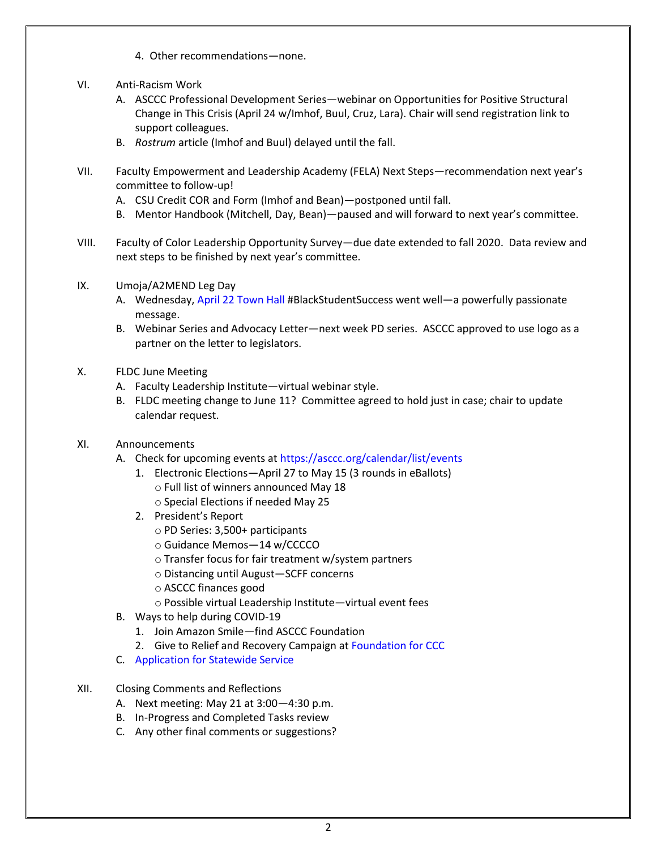- 4. Other recommendations—none.
- VI. Anti-Racism Work
	- A. ASCCC Professional Development Series—webinar on Opportunities for Positive Structural Change in This Crisis (April 24 w/Imhof, Buul, Cruz, Lara). Chair will send registration link to support colleagues.
	- B. *Rostrum* article (Imhof and Buul) delayed until the fall.
- VII. Faculty Empowerment and Leadership Academy (FELA) Next Steps—recommendation next year's committee to follow-up!
	- A. CSU Credit COR and Form (Imhof and Bean)—postponed until fall.
	- B. Mentor Handbook (Mitchell, Day, Bean)—paused and will forward to next year's committee.
- VIII. Faculty of Color Leadership Opportunity Survey—due date extended to fall 2020. Data review and next steps to be finished by next year's committee.
- IX. Umoja/A2MEND Leg Day
	- A. Wednesday, [April 22 Town Hall](https://drive.google.com/file/d/1-21OcQx1UuAeobPBb-3DGCDF9kNt6rx_/view?usp=sharing) #BlackStudentSuccess went well—a powerfully passionate message.
	- B. Webinar Series and Advocacy Letter—next week PD series. ASCCC approved to use logo as a partner on the letter to legislators.
- X. FLDC June Meeting
	- A. Faculty Leadership Institute—virtual webinar style.
	- B. FLDC meeting change to June 11? Committee agreed to hold just in case; chair to update calendar request.
- XI. Announcements
	- A. Check for upcoming events at<https://asccc.org/calendar/list/events>
		- 1. Electronic Elections—April 27 to May 15 (3 rounds in eBallots) o Full list of winners announced May 18
			- o Special Elections if needed May 25
		- 2. President's Report
			- o PD Series: 3,500+ participants
			- o Guidance Memos—14 w/CCCCO
			- o Transfer focus for fair treatment w/system partners
			- o Distancing until August—SCFF concerns
			- o ASCCC finances good
			- o Possible virtual Leadership Institute—virtual event fees
	- B. Ways to help during COVID-19
		- 1. Join Amazon Smile—find ASCCC Foundation
		- 2. Give to Relief and Recovery Campaign at [Foundation for CCC](https://foundationccc.org/)
	- C. [Application for Statewide Service](http://asccc.org/content/application-statewide-service)
- XII. Closing Comments and Reflections
	- A. Next meeting: May 21 at 3:00—4:30 p.m.
	- B. In-Progress and Completed Tasks review
	- C. Any other final comments or suggestions?